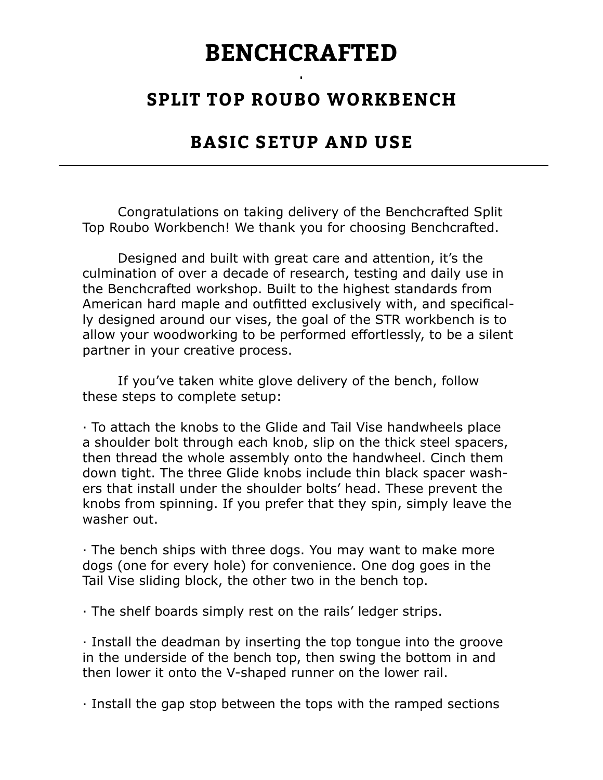## BENCHCRAFTED

## SPLIT TOP ROUBO WORKBENCH

## BASIC SETUP AND USE

 Congratulations on taking delivery of the Benchcrafted Split Top Roubo Workbench! We thank you for choosing Benchcrafted.

 Designed and built with great care and attention, it's the culmination of over a decade of research, testing and daily use in the Benchcrafted workshop. Built to the highest standards from American hard maple and outfitted exclusively with, and specifically designed around our vises, the goal of the STR workbench is to allow your woodworking to be performed effortlessly, to be a silent partner in your creative process.

 If you've taken white glove delivery of the bench, follow these steps to complete setup:

∙ To attach the knobs to the Glide and Tail Vise handwheels place a shoulder bolt through each knob, slip on the thick steel spacers, then thread the whole assembly onto the handwheel. Cinch them down tight. The three Glide knobs include thin black spacer washers that install under the shoulder bolts' head. These prevent the knobs from spinning. If you prefer that they spin, simply leave the washer out.

∙ The bench ships with three dogs. You may want to make more dogs (one for every hole) for convenience. One dog goes in the Tail Vise sliding block, the other two in the bench top.

∙ The shelf boards simply rest on the rails' ledger strips.

∙ Install the deadman by inserting the top tongue into the groove in the underside of the bench top, then swing the bottom in and then lower it onto the V-shaped runner on the lower rail.

∙ Install the gap stop between the tops with the ramped sections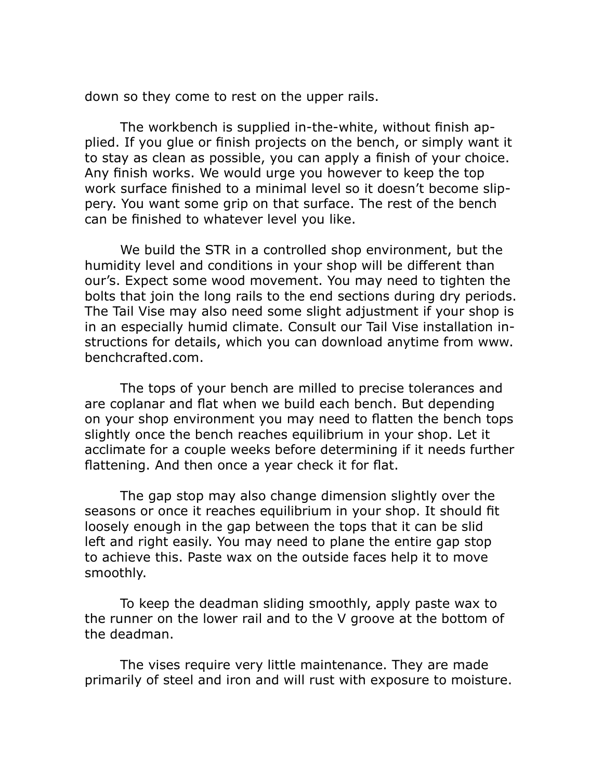down so they come to rest on the upper rails.

The workbench is supplied in-the-white, without finish applied. If you glue or finish projects on the bench, or simply want it to stay as clean as possible, you can apply a finish of your choice. Any finish works. We would urge you however to keep the top work surface finished to a minimal level so it doesn't become slippery. You want some grip on that surface. The rest of the bench can be finished to whatever level you like.

 We build the STR in a controlled shop environment, but the humidity level and conditions in your shop will be different than our's. Expect some wood movement. You may need to tighten the bolts that join the long rails to the end sections during dry periods. The Tail Vise may also need some slight adjustment if your shop is in an especially humid climate. Consult our Tail Vise installation instructions for details, which you can download anytime from www. benchcrafted.com.

 The tops of your bench are milled to precise tolerances and are coplanar and flat when we build each bench. But depending on your shop environment you may need to flatten the bench tops slightly once the bench reaches equilibrium in your shop. Let it acclimate for a couple weeks before determining if it needs further flattening. And then once a year check it for flat.

 The gap stop may also change dimension slightly over the seasons or once it reaches equilibrium in your shop. It should fit loosely enough in the gap between the tops that it can be slid left and right easily. You may need to plane the entire gap stop to achieve this. Paste wax on the outside faces help it to move smoothly.

 To keep the deadman sliding smoothly, apply paste wax to the runner on the lower rail and to the V groove at the bottom of the deadman.

 The vises require very little maintenance. They are made primarily of steel and iron and will rust with exposure to moisture.